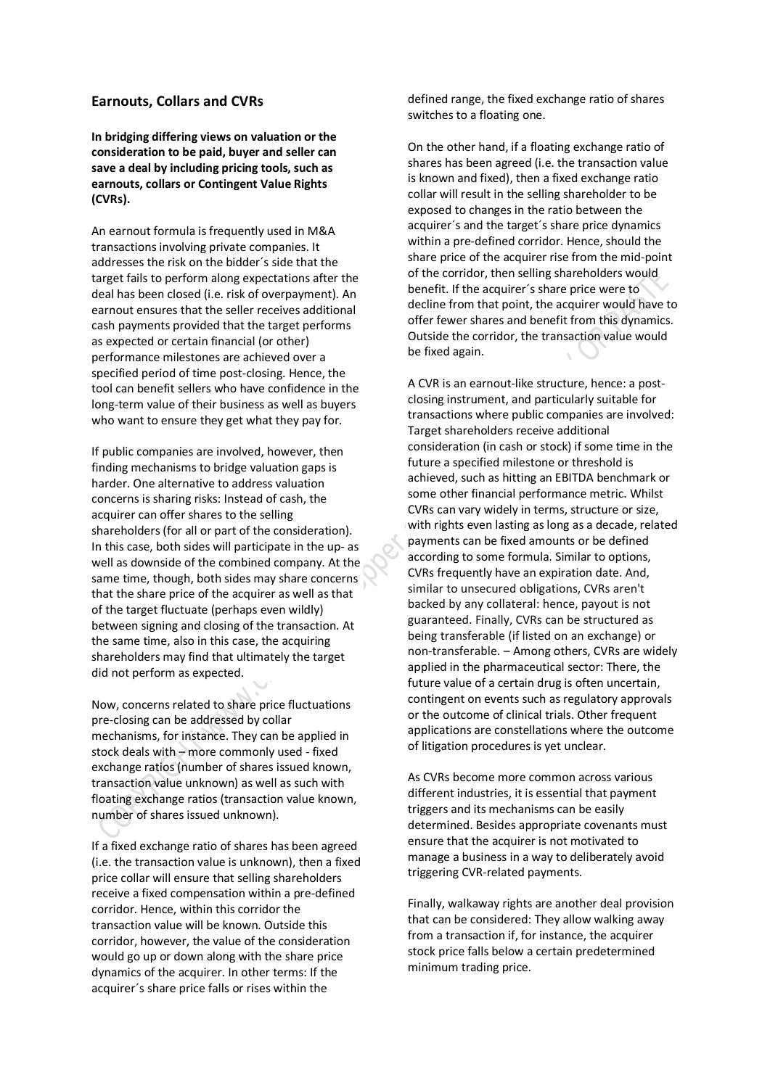## **Earnouts, Collars and CVRs**

**In bridging differing views on valuation or the consideration to be paid, buyer and seller can save a deal by including pricing tools, such as earnouts, collars or Contingent Value Rights (CVRs).**

An earnout formula is frequently used in M&A transactions involving private companies. It addresses the risk on the bidder´s side that the target fails to perform along expectations after the deal has been closed (i.e. risk of overpayment). An earnout ensures that the seller receives additional cash payments provided that the target performs as expected or certain financial (or other) performance milestones are achieved over a specified period of time post-closing. Hence, the tool can benefit sellers who have confidence in the long-term value of their business as well as buyers who want to ensure they get what they pay for.

If public companies are involved, however, then finding mechanisms to bridge valuation gaps is harder. One alternative to address valuation concerns is sharing risks: Instead of cash, the acquirer can offer shares to the selling shareholders (for all or part of the consideration). In this case, both sides will participate in the up- as well as downside of the combined company. At the same time, though, both sides may share concerns that the share price of the acquirer as well as that of the target fluctuate (perhaps even wildly) between signing and closing of the transaction. At the same time, also in this case, the acquiring shareholders may find that ultimately the target did not perform as expected.

Now, concerns related to share price fluctuations pre-closing can be addressed by collar mechanisms, for instance. They can be applied in stock deals with – more commonly used - fixed exchange ratios (number of shares issued known, transaction value unknown) as well as such with floating exchange ratios (transaction value known, number of shares issued unknown).

If a fixed exchange ratio of shares has been agreed (i.e. the transaction value is unknown), then a fixed price collar will ensure that selling shareholders receive a fixed compensation within a pre-defined corridor. Hence, within this corridor the transaction value will be known. Outside this corridor, however, the value of the consideration would go up or down along with the share price dynamics of the acquirer. In other terms: If the acquirer´s share price falls or rises within the

defined range, the fixed exchange ratio of shares switches to a floating one.

On the other hand, if a floating exchange ratio of shares has been agreed (i.e. the transaction value is known and fixed), then a fixed exchange ratio collar will result in the selling shareholder to be exposed to changes in the ratio between the acquirer´s and the target´s share price dynamics within a pre-defined corridor. Hence, should the share price of the acquirer rise from the mid-point of the corridor, then selling shareholders would benefit. If the acquirer´s share price were to decline from that point, the acquirer would have to offer fewer shares and benefit from this dynamics. Outside the corridor, the transaction value would be fixed again.

A CVR is an earnout-like structure, hence: a postclosing instrument, and particularly suitable for transactions where public companies are involved: Target shareholders receive additional consideration (in cash or stock) if some time in the future a specified milestone or threshold is achieved, such as hitting an EBITDA benchmark or some other financial performance metric. Whilst CVRs can vary widely in terms, structure or size, with rights even lasting as long as a decade, related payments can be fixed amounts or be defined according to some formula. Similar to options, CVRs frequently have an expiration date. And, similar to unsecured obligations, CVRs aren't backed by any collateral: hence, payout is not guaranteed. Finally, CVRs can be structured as being transferable (if listed on an exchange) or non-transferable. – Among others, CVRs are widely applied in the pharmaceutical sector: There, the future value of a certain drug is often uncertain, contingent on events such as regulatory approvals or the outcome of clinical trials. Other frequent applications are constellations where the outcome of litigation procedures is yet unclear.

As CVRs become more common across various different industries, it is essential that payment triggers and its mechanisms can be easily determined. Besides appropriate covenants must ensure that the acquirer is not motivated to manage a business in a way to deliberately avoid triggering CVR-related payments.

Finally, walkaway rights are another deal provision that can be considered: They allow walking away from a transaction if, for instance, the acquirer stock price falls below a certain predetermined minimum trading price.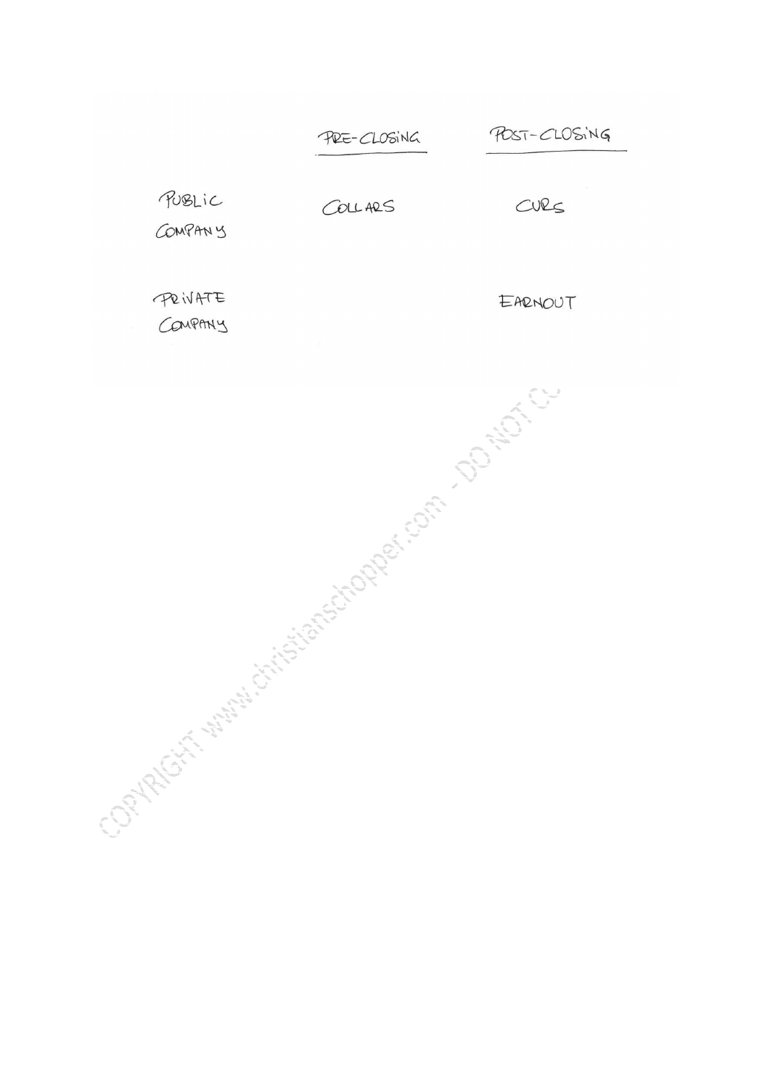POST-CLOSING PRE-CLOSING PUBLIC COLLARS CURS COMPANY PRIVATE EARNOUT COMPANY Contact Manufacturistics of the Contact Contact Contact Contact Contact Contact Contact Contact Contact Contact Contact Contact Contact Contact Contact Contact Contact Contact Contact Contact Contact Contact Contact Contac